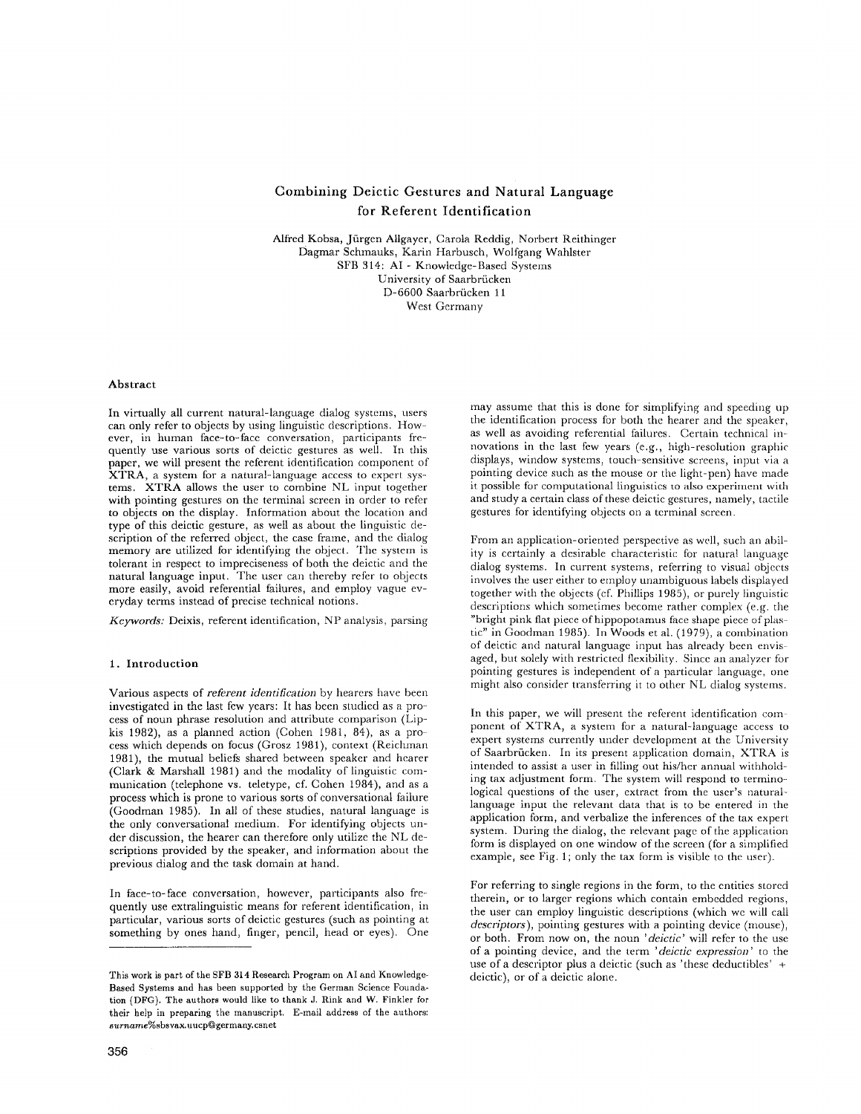# Combining Deictic Gestures and Natural Language for Referent Identification

Alfred Kobsa, Jürgen Allgayer, Carola Reddig, Norbert Reithinger Dagmar Schmauks, Karin Harbusch, Wolfgang Wahlster SFB 314: AI - Knowledge-Based Systems University of Saarbrücken D-6600 Saarbriicken 11 West Germany

# Abstract

In virtually all current natural-language dialog systems, users can only refer to objects by using linguistic descriptions. However, in human face-to-face conversation, participants fre= quently use various sorts of deictic gestures as well. In this paper, we will present the referent identification component of XTRA, a system for a natural-language access to expert systems. XTRA allows the user to combine NL input together with pointing gestures on the terminal screen in order to refer to objects on the display. Information about the location and type of this deietic gesture, as well as about the linguistic description of the referred object, the case frame, and the dialog memory are utilized for identifying the object. The system is tolerant in respect to impreciseness of both the deictic and the natural language input. The user can thereby refer to objects more easily, avoid referential failures, and employ vague everyday terms instead of precise technical notions.

*Keywords:* Deixis, referent identification, NP analysis, parsing

#### 1. Introduction

Various aspects of *referent identification* by hearers have been investigated in the last few years: It has been studied as a process of noun phrase resolution and attribute comparison (Lipkis 1982), as a planned action (Cohen 1981, 84), as a process which depends on focus (Grosz 1981), context (Reichman 1981), the mutual beliefs shared between speaker and hearer (Clark & Marshall 1981) and the modality of linguistic communication (telephone vs. teletype, cf. Cohen 1984), and as a process which is prone to various sorts of conversational failure (Goodman 1985). In all of these studies, natural language is the only conversational medium. For identifying objects under discussion, the hearer can therefore only utilize the NL descriptions provided by the speaker, and information about the previous dialog and the task domain at hand.

In face-to-face conversation, however, participants also frequently use extralinguistic means for referent identification, in particular, various sorts of deictic gestures (such as pointing at something by ones hand, finger, pencil, head or eyes). One may assume that this is done for simplifying and speeding up the identification process for both the hearer and the speaker, as well as avoiding referential failures. Certain technical innovations in the last few years (e.g., high-resolution graphic displays, window systems, touch-sensitive screens, input via a pointing device such as the mouse or the light-pen) have made it possible for computational linguistics to also experiment with and study a certain class of these deictic gestures, namely, tactile gestures for identifying objects on a terminal screen.

From an application-oriented perspective as well, such an ability is certainly a desirable characteristic for natural language dialog systems. In current systems, referring to visual objects involves the user either to employ unambiguous labels displayed together with the objects (cf. Phillips 1985), or purely linguistic descriptions which sometimes become rather complex (e.g. the "bright pink flat piece of hippopotamus face shape piece of plastic" in Goodman 1985). In Woods et al. (1979), a combination of deictic and natural language input has already been envisaged, but solely with restricted flexibility. Since an analyzer for pointing gestures is independent of a particular language, one might also consider transferring it to other NL dialog systems.

In this paper, we will present the referent identification component of XTRA, a system for a natural-language access to expert systems currently under development at the University of Saarbrücken. In its present application domain, XTRA is intended to assist a user in filling out his/her annual withholding tax adjustment form. The system will respond to terminological questions of the user, extract from the user's naturallanguage input the relevant data that is to be entered in the application form, and verbalize the inferences of the tax expert system. During the dialog, the relevant page of the application form is displayed on one window of the screen (for a simplified example, see Fig. 1; only the tax form is visible to the user).

For referring to single regions in the form, to the entities stored therein, or to larger regions which contain embedded regions, the user can employ linguistic descriptions (which we will call *descriptors),* pointing gestures with a pointing device (mouse), or both. From now on, the noun *'delctic'* will refer to the use of a pointing device, and the term *'deictlc expression'* to the use of a descriptor plus a deictic (such as 'these deductibles' + deictic), or of a deictic alone.

This work is part of the SFB 314 Research Program on AI and Knowledge-Based Systems and has been supported by the German Science Foundation (DFG). The authors would like to thank J. Rink and W. Finkler for their help in preparing the manuscript, E-mail address of the authors: *surname%sbsvamuucp~germany.csnet*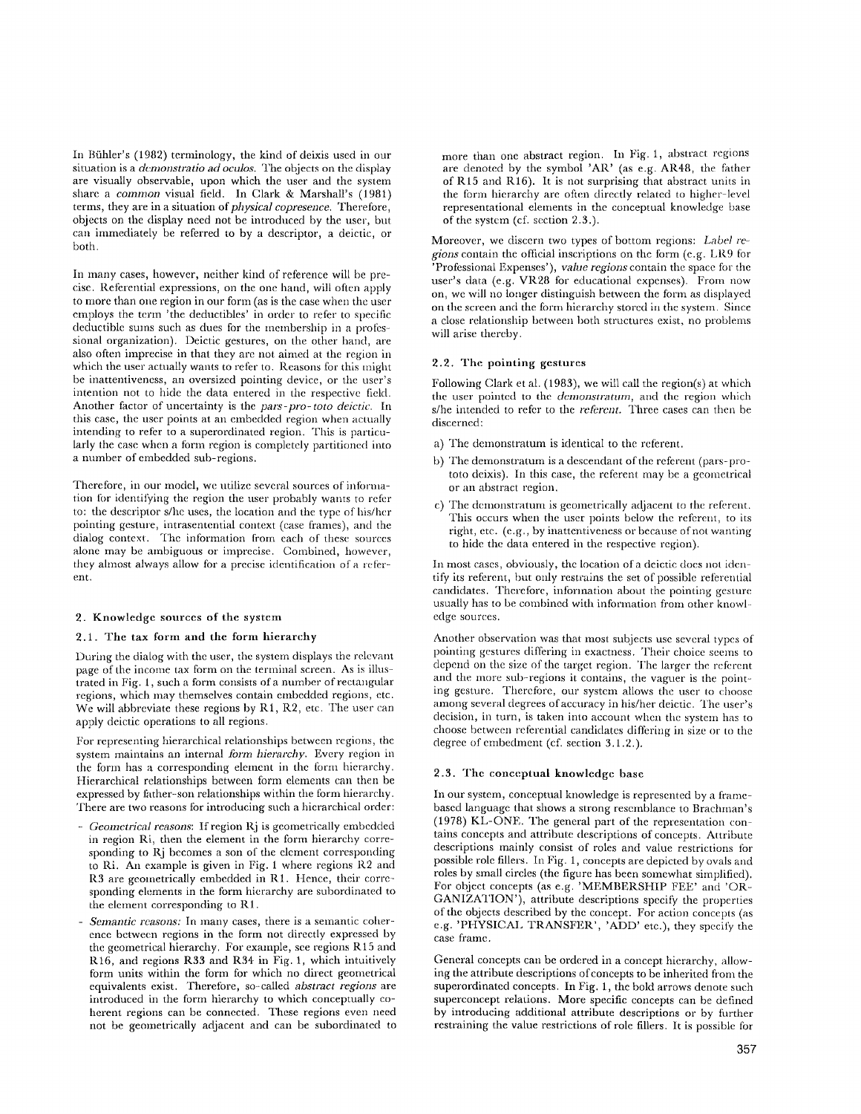In Bühler's (1982) terminology, the kind of deixis used in our situation is a *demonstratio ad oculos*. The objects on the display are visually observable, upon which the user and the system share a *common* visual field. In Clark & Marshall's (1981) terms, they are in a situation of *physical copresence*. Therefore, objects on the display need not be introduced by the user, but can immediately be referred to by a descriptor, a deictic, or both.

In many cases, however, neither kind of reference will be precise. Referential expressions, on the one hand, will often apply to more than one region in our form (as is the case when the user employs the term 'the deductibles' in order to refer to specific deductible sums such as dues for the membership in a professional organization). Deictic gestures, on the other band, are also often imprecise in that they arc not aimed at the region in which the user actually wants to refer to. Reasons for this might be inattemiveness, an oversized pointing device, or the user's intention not to hide the data entered in the respective field. Another factor of uncertainty is the *pars-pro-toto deictic. In*  this case, the user points at an embedded region when actually intending to refer to a superordinated region. This is particularly the case when a form region is completely partitioned into a number of embedded sub-regions.

Therefore, in our model, we utilize several sources of information for identifying the region the user probably wants to refer to: the descriptor s/he uses, the location and the type of his/her pointing gesture, intrasentential context (case frames), and the dialog context. The information from each of these sources alone may be ambiguous or imprecise. Combined, however, they ahnost always allow for a precise identification of a reterent.

# 2. Knowledge sources of the system

#### 2.1. The tax form and the form hierarchy

During the dialog with the user, the system displays the relevant page of the income tax form on the terminal screen. As is illustrated in Fig. 1, such a form consists of a number of rectangular regions, which may themselves contain embedded regions, etc. We will abbreviate these regions by R1, R2, etc. The user can apply deictic operations to all regions.

For representing hierarchical relationships between regions, the system maintains an internal *form hierarchy*. Every region in the form has a corresponding element in the form hierarchy. Hierarchical relationships between form elements can then be expressed by father-son relationships within the form hierarchy. There are two reasons for introducing such a hierarchical order:

- *Geometrical reasons:* If region Rj is geometrically embedded in region Ri, then the element in the form hierarchy corresponding to Rj becomes a son of the element corresponding to Ri. An example is given in Fig. 1 where regions R2 and R3 are geometrically embedded in R1. Hence, their corresponding elements in the form hierarchy are subordinated to the element corresponding to R1.
- *Semantic reasons:* In many cases, there is a semantic coherence between regions in the form not directly expressed by the geometrical hierarchy. For example, see regions R 15 and R16, and regions R33 and R34 in Fig. 1, which intuitively form units within the form for which no direct geometrical equivalents exist. Therefore, so-called *abstract regions* are introduced in the form hierarchy to which conceptually coherent regions can be connected. These regions even need not be geometrically adjacent and can be subordinated to

more than one abstract region. In Fig. 1, abstract regions are denoted by the symbol *'AR'* (as e.g. AR48, the father of R15 and R16). It is not surprising that abstract units in the form hierarchy are often directly related to higher-level representational elements in the conceptual knowledge base of the system (cf. section  $2.3$ .).

Moreover, we discern two types of bottom regions: *Labd regions* contain the official inscriptions on the form (e.g. LR9 for 'Professional Expenses'), *value regions* contain the space for the user's data (e.g. VR28 for educational expenses). From now on, we will no longer distinguish between the form as displayed on the screen and the form hierarchy stored in the system. Since a close relationship between both structures exist, no problems will arise thereby.

#### **2.2. The pointing gestures**

Following Clark et al. (1983), we will call the region(s) at which the user pointed to the *demonstratum*, and the region which s/he intended to refer to the *referent.* Three cases can then be discerned:

- a) The demonstratum is identical to the referent.
- b) The demonstratum is a descendant of the referent (pars-prototo deixis). In this case, the referent may be a geometrical or an abstract region.
- c) The demonstratum is geometrically adjacent to the referent. This occurs when the user points below the referent, to its right, etc. (e.g., by inattentiveness or because of not wanting to hide the data entered in the respective region).

In most cases, obviously, the location of a deictic does not identify its referent, but only restrains the set of possible referential candidates. Therefore, information about the pointing gesture usually has to be combined with information from other knowledge sources.

Another observation was that most subjects use several types of pointing gestures differing in exactness. Their cboice seems to depend on the size of the target region. The larger the referent and the more sub-regions it contains, the vaguer is the pointing gesture. Therefore, our system allows the user to choose among several degrees of accuracy in his/her deictic. The user's decision, in turn, is taken into account when the system has to choose between referential candidates differing in size or to the degree of cmbedment (cf. section 3.1.2.).

# 2.3. The conceptual knowledgc base

In our system, conceptual knowledge is represented by a framebased language that shows a strong resemblance to Brachman's  $(1978)$  KL-ONE. The general part of the representation contains concepts and attribute descriptions of concepts. Attribute descriptions mainly consist of roles and value restrictions for possible role fillers. In Fig. 1, concepts are depicted by ovals and roles by small circles (the figure has been somewhat simplified). For object concepts (as e.g. 'MEMBERSHIP FEE' and 'OR-GANIZATION'), attribute descriptions specify the properties of the objects described by the concept. For action concepts (as e.g. 'PHYSICAL TRANSFER', 'ADD' etc.), they specify the case frame.

General concepts can be ordered in a concept hierarchy, allowing the attribute descriptions of concepts to be inherited from the superordinated concepts. In Fig. 1, the bold arrows denote such superconcept relations. More specific concepts can be defined by introducing additional attribute descriptions or by further restraining the value restrictions of role fillers. It is possible for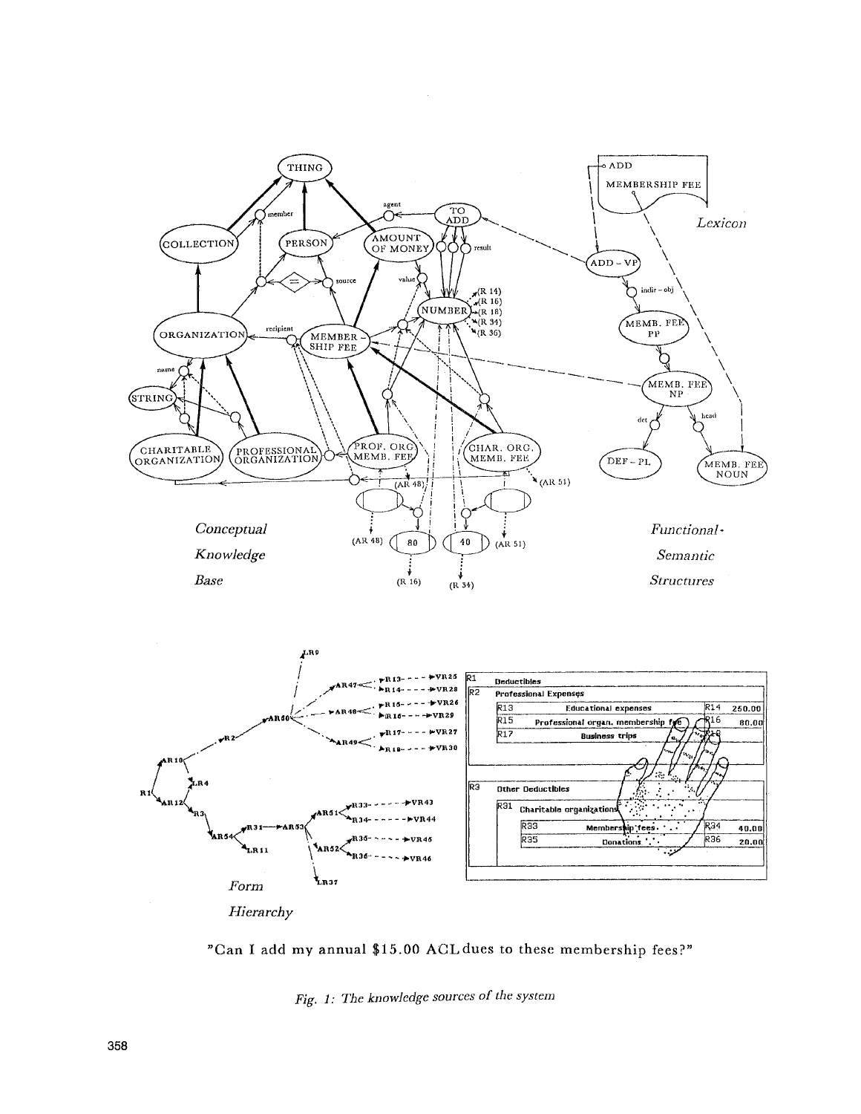



Fig. 1: The knowledge sources of the system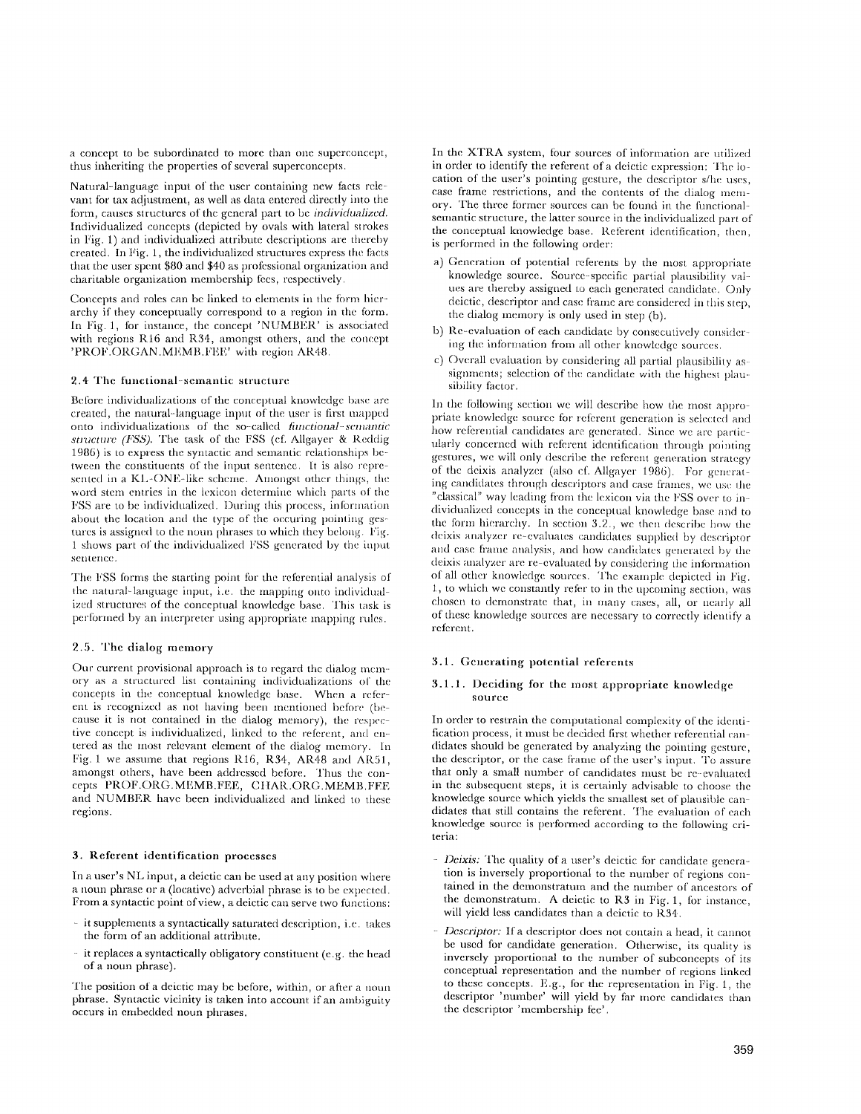a concept to be subordinated to more than one superconcept, thus inheriting the properties of several superconcepts.

Natural-language input of the user containing new facts relevant for tax adjustment, as well as data entered directly into the form, causes structures of the general part to be *individualized*. Individualized concepts (depicted by ovals with lateral strokes in Fig. 1) and individualized attribute descriptions are thereby created. In Fig. 1, the individualized structures express the facts that the user spent \$80 and \$40 as professional organization and charitable organization membership fees, respectively.

Concepts and roles can be linked to elements in the form hierarchy if they conceptually correspond to a region in the form. In Fig. 1, for instance, the concept 'NUMBER' is associated with regions R16 and R34, amongst others, and the concept 'PROF.ORGAN.MEMB.FEE' with region AR48.

## 2.4 The functional-semantic structure

Before individualizations of the conceptual knowledge base are created, the natural--language input of the user is first mapped onto individua{izations of the so:called *timctional-semantic structure (FSS)*. The task of the FSS (cf. Allgayer & Reddig 1986) is to express the syntactic and semantic relationships bctween the constituents of the input sentence. It is also represented in a KL-ONE-like scheme. Amongst other things, the word stem entries in the lexicon determine which parts of the FSS are to be individualized. During this process, information about the location and the type of the occuring pointing gestures is assigned to the noun phrases to which they belong. Fig. 1 shows part of the individualized FSS generated by the input sentence.

The FSS forms the starting point for the referential analysis of the natural-language input, i.e. the mapping onto individualized structures of the conceptual knowledge base. This task is performed by an interpreter using appropriate mapping rules.

## 2.5. The dialog memory

Our current provisional approach is to regard the dialog memory as a structured list containing individualizations of the concepts in the conceptual knowledge base. When a referent is recognized as not having been mentioned before (because it is not contained in the dialog memory), the respective concept is individualized, linked to the referent, and entered as the most relevant element of the dialog memory. In Fig. 1 we assume that regions R16, R34, AR48 and AR51, amongst others, have been addressed before. Thus the concepts PROF.ORG.MEMB.FEE, CHAR.ORG.MEMB.FFE and NUMBER have been individualized and linked to these regions.

# **3. Referent identification processes**

In a user's NL input, a deictic can be used at any position where a noun phrase or a (locative) adverbial phrase is to be expected. From a syntactic point of view, a deictic can serve two functions:

- it supplements a syntactically saturated description, i.e. takes the form of an additional attribute.
- it replaces a syntactically obligatory constituent (e.g. the head of a noun phrase).

The position of a deictic may be before, within, or after a noun **phrase.** Syntactic vicinity is taken into account if an ambiguity occurs in embedded noun phrases.

In the XTRA system, four sources of information are utilized in order to identify the referent of a deictic expression: The location of the user's pointing gesture, the descriptor s/he uses, case frame restrictions, and the contents of the dialog memory. The three former sources can be found in the lunctionalsemantic structure, the latter source in the individualized part of the conceptual knowledge base. Referent identification, then, is performed in the following order:

- a) Generation of potential referents by the most appropriate knowledge source. Source-specific partial plausibility values are thereby assigned to each generated candidate. Only deictic, descriptor and case frame are considered in this step, the dialog memory is only used in step (b).
- b) Re-ewduation of each candidate by consecutively considering the information from all other knowledge sources.
- c) Overall evaluation by considering all partial plausibility assignments; selection of the candidate with the highest plausibility factor.

In the following section we will describe how the most appropriate knowledge source for referent generation is selected and how referential candidates are generated. Since we are particularly concerned with referent identification through pointing gestures, we will only describe the referent generation strategy of the deixis analyzer (also of. Allgayer I986). For general ing candidates through descriptors and case frames, we use the "classical" way leading from the lexicon via the FSS over to individualized concepts in the conceptual knowledge base and to the form hierarchy. In section  $3.2$ , we then describe how the deixis analyzer re-evaluates candidates supplied by descriptor and case frame analysis, and how candidates generated by the deixis analyzer are re evaluated by considering the intormation of all other knowledge sources. The example depicted m Fig. 1, to which we constantly refer to in the upcoming section, was chosen to demonstrate that, in many cases, all, or nearly all of these knowledge som'ccs are necessary to correctly identify a referent.

## 3.1. Generating potential referents

# 3.1.1. Deciding for the most appropriate knowledge source

In order to restrain the computational complexity of the identification process, it must be decided first whether referential candidates should be generated by analyzing the pointing gesture, the descriptor, or the case frame of the user's input. To assure that only a small number of candidates must be re-evaluated in the subsequent steps, it is certainly advisable to choose the knowledge source which yields the smallest set of plausible can didates that still contains the referent. The evaluation of each knowledge source is performed according to the following criteria:

- *Deixis:* The quality of a user's deictic for candidate generation is inversely proportional to the number of regions contained in the demonstratum and the number of ancestors of the demonstratum. A deictic to R3 in Fig. 1, for instance, will yield less candidates than a deictic to  $\overline{R}34$ .
- *Descriptor:* Ifa descriptor does not contain a head, it cannot be used for candidate generation. Otherwise, its quality is inversely proportional to the number of subconcepts of its conceptual representation and the number of regions linked to these concepts. E.g., for the representation in Fig. 1, the descriptor 'number' will yield by far more candidates than the descriptor 'membership fee'.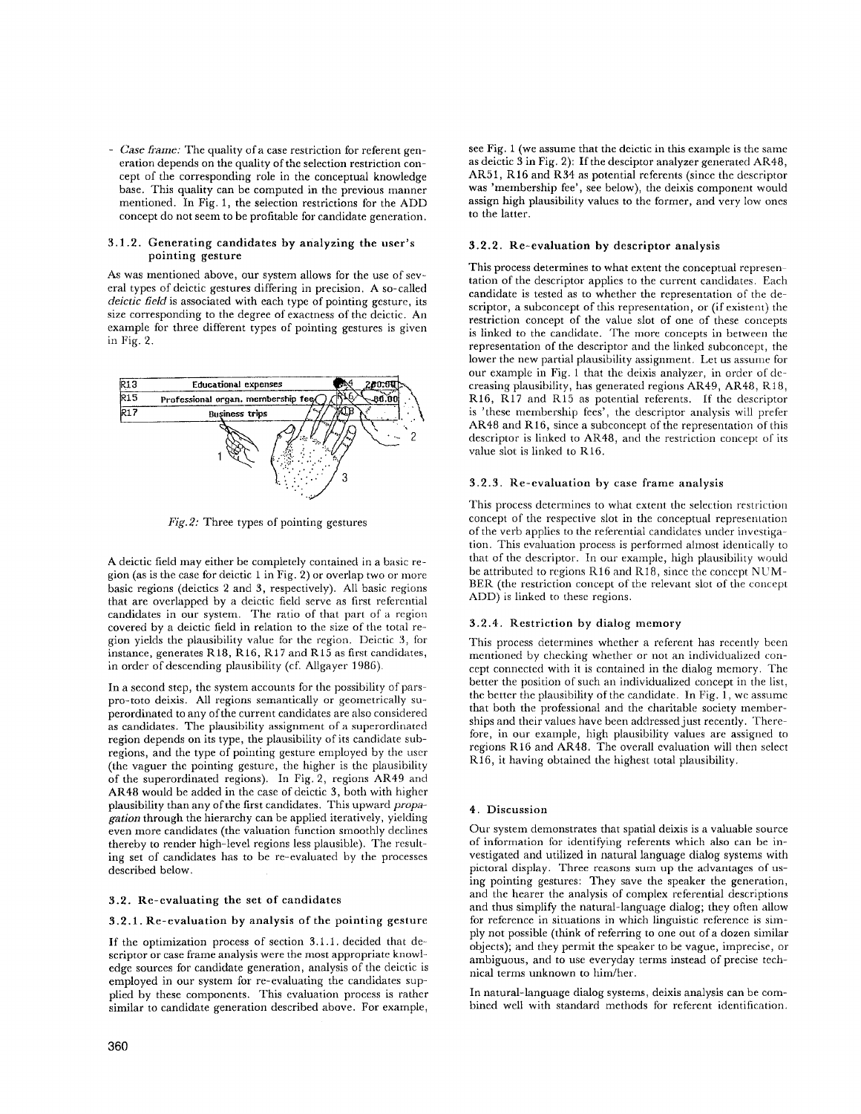*- Case frame:* The quality of a case restriction for referent generation depends on the quality of the selection restriction concept of the corresponding role in the conceptual knowledge base. This quality can be computed in the previous manner mentioned. In Fig. 1, the selection restrictions for the ADD concept do not seem to be profitable for candidate generation.

#### 3.1.2. Generating candidates by analyzing the user's pointing gesture

As was mentioned above, our system allows for the use of several types of deictic gestures differing in precision. A so-called *deictic fieM* is associated with each type of pointing gesture, its size corresponding to the degree of exactness of the deictic. An example for three different types of pointing gestures is given in Fig. 2.



*Fig.2:* Three types of pointing gestures

A deictic field may either be completely contained in a basic region (as is the case for deictic 1 in Fig. 2) or overlap two or more basic regions (deicties 2 and 3, respectively). All basic regions that are overlapped by a deictic field serve as first referential candidates in our system. The ratio of that part of a region covered by a deictic field in relation to the size of the total region yields the plausibility value for the region. Deictic 3, for instance, generates R18, R16, R17 and R15 as first candidates, in order of descending plausibility (cf. Allgayer 1986).

In a second step, the system accounts for the possibility of parspro-toto deixis. All regions semantically or geometrically superordinated to any of the current candidates are also considered as candidates. The plausibility assignment of a superordinated region depends on its type, the plausibility of its candidate subregions, and the type of pointing gesture employed by the user (the vaguer the pointing gesture, the higher is the plausibility of the superordinated regions). In Fig. 2, regions AR49 and AR48 would be added in the case of deictic 3, both with higher plausibility than any of the first candidates. This upward *propagation* through the hierarchy can be applied iteratively, yielding even more candidates (the valuation function smoothly declines thereby to render high-level regions less plausible). The resulting set of candidates has to be re-evaluated by the processes described below.

# 3.2. Re-evaluating the set of candidates

# 3.2.1. Re-evaluation by analysis of the pointing gesture

If the optimization process of section 3.1.1. decided that descriptor or case frame analysis were the most appropriate knowledge sources for candidate generation, analysis of the deictie is employed in our system for re-evaluating the candidates supplied by these components. This evaluation process is rather similar to candidate generation described above. For example,

see Fig. 1 (we assume that the delctic in this example is the same as deictic 3 in Fig. 2): If the desciptor analyzer generated AR48, AR51, R16 and R34 as potential referents (since the descriptor was 'membership fee', see below), the deixis component would assign high plausibility values to the former, and very low ones to the latter.

#### 3.2.2. Re-evaluation by descriptor analysis

This process determines to what extent the conceptual representation of the descriptor applies to the current candidates. Each candidate is tested as to whether the representation of the descriptor, a subconcept of this representation, or (if existent) the restriction concept of the value slot of one of these concepts is linked to the candidate. The more concepts in between the representation of the descriptor and the linked subeoncept, the lower the new partial plausibility assignment. Let us assume for our example in Fig. 1 that the deixis analyzer, in order of decreasing plausibility, has generated regions AR49, AR48, R18, R16, R17 and R15 as potential referents. If the descriptor is 'these membership fees', the descriptor analysis will prefer AR48 and R16, since a subconcept of the representation of this descriptor is linked to AR48, and the restriction concept of its value slot is linked to R16.

#### 3.2.3. Re-evaluation by case frame analysis

This process determines to what extent the selection restriction concept of the respective slot in the conceptual representation of the verb applies to the referential candidates under investigation. This evaluation process is performed almost identically to that of the descriptor. In our example, high plausibility would be attributed to regions R16 and R18, since the concept NUM-BER (the restriction concept of the relevant slot of the concept ADD) is linked to these regions.

## 3.2.4. Restriction by dialog memory

This process determines whether a referent has recently been mentioned by checking whether or not an individualized concept connected with it is contained in the dialog memory. The better the position of such an individualized concept in the list, the better the plausibility of the candidate. In Fig.  $\hat{1}$ , we assume that both the professional and the charitable society memberships and their values have been addressed just recently. Therefore, in our example, high plausibility values are assigned to regions R16 and AR48. The overall evaluation will then select R16, it having obtained the highest total plausibility.

#### 4. Discussion

Our system demonstrates that spatial deixis is a valuable source of information for identifying referents which also can be investigated and utilized in natural language dialog systems with pictoral display. Three reasons sum up the advantages of using pointing gestures: They save the speaker the generation, and the hearer the analysis of complex referential descriptions and thus simplify the natural-language dialog; they often allow for reference in situations in which linguistic reference is simply not possible (think of referring to one out of a dozen similar objects); and they permit the speaker to be vague, imprecise, or ambiguous, and to use everyday terms instead of precise technical terms unknown to him/her.

In natural-language dialog systems, deixis analysis can be combined well with standard methods for referent identification.